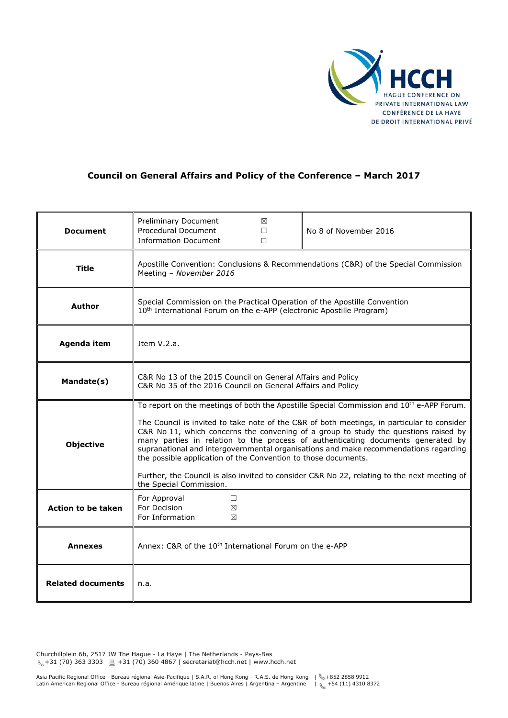

## **Council on General Affairs and Policy of the Conference – March 2017**

| <b>Document</b>           | Preliminary Document<br>⊠<br><b>Procedural Document</b><br>$\Box$<br><b>Information Document</b><br>$\Box$                                                                                                                                                                                                                                                                                                                                                                                                                                                                                                                                                        | No 8 of November 2016 |
|---------------------------|-------------------------------------------------------------------------------------------------------------------------------------------------------------------------------------------------------------------------------------------------------------------------------------------------------------------------------------------------------------------------------------------------------------------------------------------------------------------------------------------------------------------------------------------------------------------------------------------------------------------------------------------------------------------|-----------------------|
| <b>Title</b>              | Apostille Convention: Conclusions & Recommendations (C&R) of the Special Commission<br>Meeting - November 2016                                                                                                                                                                                                                                                                                                                                                                                                                                                                                                                                                    |                       |
| Author                    | Special Commission on the Practical Operation of the Apostille Convention<br>10 <sup>th</sup> International Forum on the e-APP (electronic Apostille Program)                                                                                                                                                                                                                                                                                                                                                                                                                                                                                                     |                       |
| Agenda item               | Item V.2.a.                                                                                                                                                                                                                                                                                                                                                                                                                                                                                                                                                                                                                                                       |                       |
| Mandate(s)                | C&R No 13 of the 2015 Council on General Affairs and Policy<br>C&R No 35 of the 2016 Council on General Affairs and Policy                                                                                                                                                                                                                                                                                                                                                                                                                                                                                                                                        |                       |
| <b>Objective</b>          | To report on the meetings of both the Apostille Special Commission and 10 <sup>th</sup> e-APP Forum.<br>The Council is invited to take note of the C&R of both meetings, in particular to consider<br>C&R No 11, which concerns the convening of a group to study the questions raised by<br>many parties in relation to the process of authenticating documents generated by<br>supranational and intergovernmental organisations and make recommendations regarding<br>the possible application of the Convention to those documents.<br>Further, the Council is also invited to consider C&R No 22, relating to the next meeting of<br>the Special Commission. |                       |
| <b>Action to be taken</b> | For Approval<br>□<br>For Decision<br>X<br>For Information<br>X                                                                                                                                                                                                                                                                                                                                                                                                                                                                                                                                                                                                    |                       |
| <b>Annexes</b>            | Annex: C&R of the 10 <sup>th</sup> International Forum on the e-APP                                                                                                                                                                                                                                                                                                                                                                                                                                                                                                                                                                                               |                       |
| <b>Related documents</b>  | n.a.                                                                                                                                                                                                                                                                                                                                                                                                                                                                                                                                                                                                                                                              |                       |

Churchillplein 6b, 2517 JW The Hague - La Haye | The Netherlands - Pays-Bas  $\frac{1}{2}$  +31 (70) 363 3303  $\frac{3}{2}$  +31 (70) 360 4867 | secretariat@hcch.net | www.hcch.net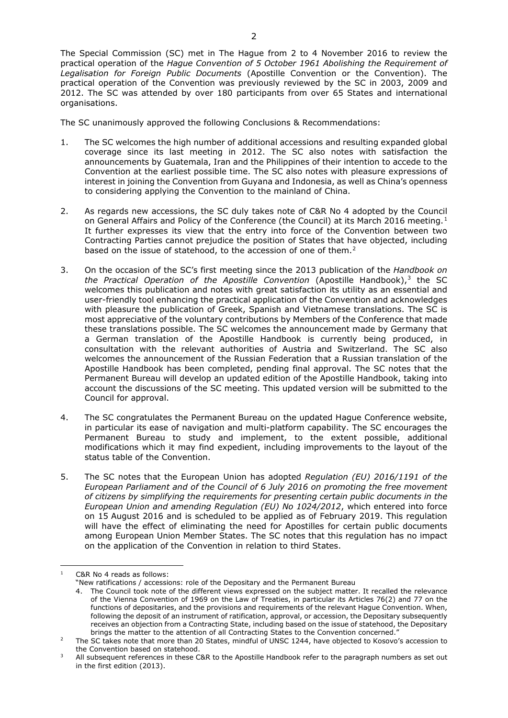The Special Commission (SC) met in The Hague from 2 to 4 November 2016 to review the practical operation of the *Hague Convention of 5 October 1961 Abolishing the Requirement of Legalisation for Foreign Public Documents* (Apostille Convention or the Convention). The practical operation of the Convention was previously reviewed by the SC in 2003, 2009 and 2012. The SC was attended by over 180 participants from over 65 States and international organisations.

The SC unanimously approved the following Conclusions & Recommendations:

- 1. The SC welcomes the high number of additional accessions and resulting expanded global coverage since its last meeting in 2012. The SC also notes with satisfaction the announcements by Guatemala, Iran and the Philippines of their intention to accede to the Convention at the earliest possible time. The SC also notes with pleasure expressions of interest in joining the Convention from Guyana and Indonesia, as well as China's openness to considering applying the Convention to the mainland of China.
- 2. As regards new accessions, the SC duly takes note of C&R No 4 adopted by the Council on General Affairs and Policy of the Conference (the Council) at its March 20[1](#page-1-0)6 meeting.<sup>1</sup> It further expresses its view that the entry into force of the Convention between two Contracting Parties cannot prejudice the position of States that have objected, including based on the issue of statehood, to the accession of one of them.<sup>[2](#page-1-1)</sup>
- 3. On the occasion of the SC's first meeting since the 2013 publication of the *Handbook on the Practical Operation of the Apostille Convention* (Apostille Handbook),<sup>[3](#page-1-2)</sup> the SC welcomes this publication and notes with great satisfaction its utility as an essential and user-friendly tool enhancing the practical application of the Convention and acknowledges with pleasure the publication of Greek, Spanish and Vietnamese translations. The SC is most appreciative of the voluntary contributions by Members of the Conference that made these translations possible. The SC welcomes the announcement made by Germany that a German translation of the Apostille Handbook is currently being produced, in consultation with the relevant authorities of Austria and Switzerland. The SC also welcomes the announcement of the Russian Federation that a Russian translation of the Apostille Handbook has been completed, pending final approval. The SC notes that the Permanent Bureau will develop an updated edition of the Apostille Handbook, taking into account the discussions of the SC meeting. This updated version will be submitted to the Council for approval.
- 4. The SC congratulates the Permanent Bureau on the updated Hague Conference website, in particular its ease of navigation and multi-platform capability. The SC encourages the Permanent Bureau to study and implement, to the extent possible, additional modifications which it may find expedient, including improvements to the layout of the status table of the Convention.
- 5. The SC notes that the European Union has adopted *Regulation (EU) 2016/1191 of the European Parliament and of the Council of 6 July 2016 on promoting the free movement of citizens by simplifying the requirements for presenting certain public documents in the European Union and amending Regulation (EU) No 1024/2012*, which entered into force on 15 August 2016 and is scheduled to be applied as of February 2019. This regulation will have the effect of eliminating the need for Apostilles for certain public documents among European Union Member States. The SC notes that this regulation has no impact on the application of the Convention in relation to third States.

<span id="page-1-0"></span>**<sup>.</sup>** C&R No 4 reads as follows:

<sup>&</sup>quot;New ratifications / accessions: role of the Depositary and the Permanent Bureau

<sup>4.</sup> The Council took note of the different views expressed on the subject matter. It recalled the relevance of the Vienna Convention of 1969 on the Law of Treaties, in particular its Articles 76(2) and 77 on the functions of depositaries, and the provisions and requirements of the relevant Hague Convention. When, following the deposit of an instrument of ratification, approval, or accession, the Depositary subsequently receives an objection from a Contracting State, including based on the issue of statehood, the Depositary brings the matter to the attention of all Contracting States to the Convention concerned."

<span id="page-1-1"></span><sup>&</sup>lt;sup>2</sup> The SC takes note that more than 20 States, mindful of UNSC 1244, have objected to Kosovo's accession to the Convention based on statehood.

<span id="page-1-2"></span>All subsequent references in these C&R to the Apostille Handbook refer to the paragraph numbers as set out in the first edition (2013).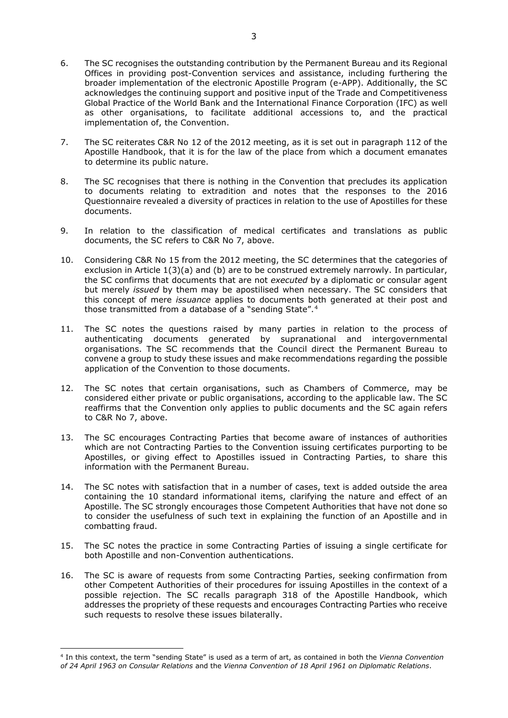- 6. The SC recognises the outstanding contribution by the Permanent Bureau and its Regional Offices in providing post-Convention services and assistance, including furthering the broader implementation of the electronic Apostille Program (e-APP). Additionally, the SC acknowledges the continuing support and positive input of the Trade and Competitiveness Global Practice of the World Bank and the International Finance Corporation (IFC) as well as other organisations, to facilitate additional accessions to, and the practical implementation of, the Convention.
- 7. The SC reiterates C&R No 12 of the 2012 meeting, as it is set out in paragraph 112 of the Apostille Handbook, that it is for the law of the place from which a document emanates to determine its public nature.
- 8. The SC recognises that there is nothing in the Convention that precludes its application to documents relating to extradition and notes that the responses to the 2016 Questionnaire revealed a diversity of practices in relation to the use of Apostilles for these documents.
- 9. In relation to the classification of medical certificates and translations as public documents, the SC refers to C&R No 7, above.
- 10. Considering C&R No 15 from the 2012 meeting, the SC determines that the categories of exclusion in Article 1(3)(a) and (b) are to be construed extremely narrowly. In particular, the SC confirms that documents that are not *executed* by a diplomatic or consular agent but merely *issued* by them may be apostilised when necessary. The SC considers that this concept of mere *issuance* applies to documents both generated at their post and those transmitted from a database of a "sending State".[4](#page-2-0)
- 11. The SC notes the questions raised by many parties in relation to the process of authenticating documents generated by supranational and intergovernmental organisations. The SC recommends that the Council direct the Permanent Bureau to convene a group to study these issues and make recommendations regarding the possible application of the Convention to those documents.
- 12. The SC notes that certain organisations, such as Chambers of Commerce, may be considered either private or public organisations, according to the applicable law. The SC reaffirms that the Convention only applies to public documents and the SC again refers to C&R No 7, above.
- 13. The SC encourages Contracting Parties that become aware of instances of authorities which are not Contracting Parties to the Convention issuing certificates purporting to be Apostilles, or giving effect to Apostilles issued in Contracting Parties, to share this information with the Permanent Bureau.
- 14. The SC notes with satisfaction that in a number of cases, text is added outside the area containing the 10 standard informational items, clarifying the nature and effect of an Apostille. The SC strongly encourages those Competent Authorities that have not done so to consider the usefulness of such text in explaining the function of an Apostille and in combatting fraud.
- 15. The SC notes the practice in some Contracting Parties of issuing a single certificate for both Apostille and non-Convention authentications.
- 16. The SC is aware of requests from some Contracting Parties, seeking confirmation from other Competent Authorities of their procedures for issuing Apostilles in the context of a possible rejection. The SC recalls paragraph 318 of the Apostille Handbook, which addresses the propriety of these requests and encourages Contracting Parties who receive such requests to resolve these issues bilaterally.

**.** 

<span id="page-2-0"></span><sup>4</sup> In this context, the term "sending State" is used as a term of art, as contained in both the *Vienna Convention of 24 April 1963 on Consular Relations* and the *Vienna Convention of 18 April 1961 on Diplomatic Relations*.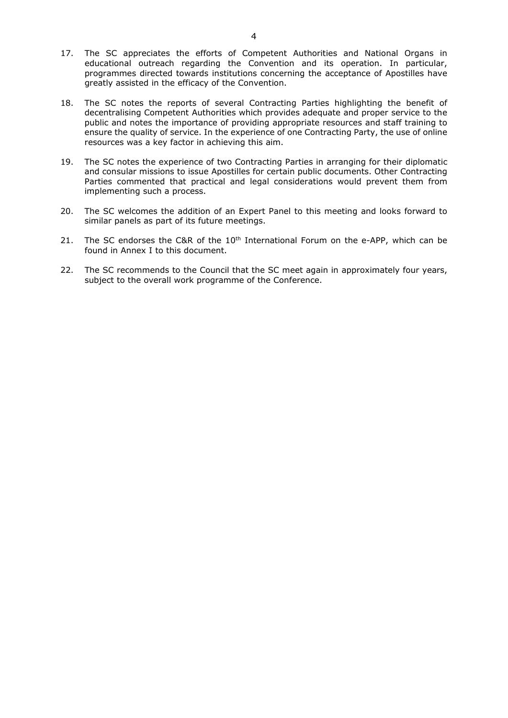- 17. The SC appreciates the efforts of Competent Authorities and National Organs in educational outreach regarding the Convention and its operation. In particular, programmes directed towards institutions concerning the acceptance of Apostilles have greatly assisted in the efficacy of the Convention.
- 18. The SC notes the reports of several Contracting Parties highlighting the benefit of decentralising Competent Authorities which provides adequate and proper service to the public and notes the importance of providing appropriate resources and staff training to ensure the quality of service. In the experience of one Contracting Party, the use of online resources was a key factor in achieving this aim.
- 19. The SC notes the experience of two Contracting Parties in arranging for their diplomatic and consular missions to issue Apostilles for certain public documents. Other Contracting Parties commented that practical and legal considerations would prevent them from implementing such a process.
- 20. The SC welcomes the addition of an Expert Panel to this meeting and looks forward to similar panels as part of its future meetings.
- 21. The SC endorses the C&R of the  $10<sup>th</sup>$  International Forum on the e-APP, which can be found in Annex I to this document.
- 22. The SC recommends to the Council that the SC meet again in approximately four years, subject to the overall work programme of the Conference.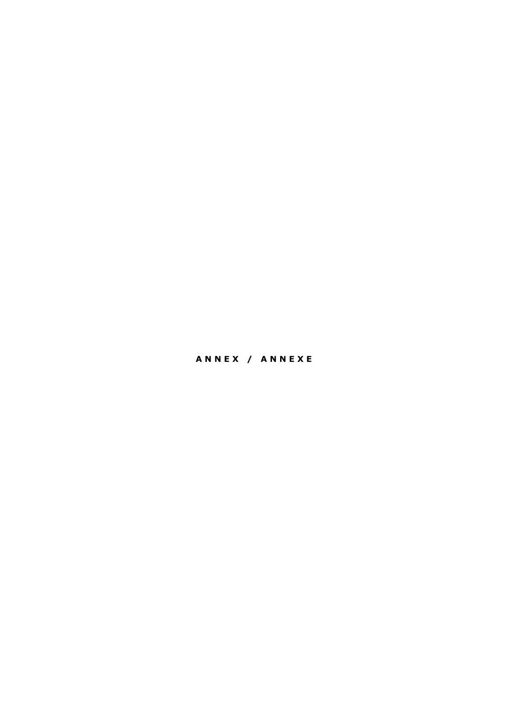# **A N N E X / A N N E X E**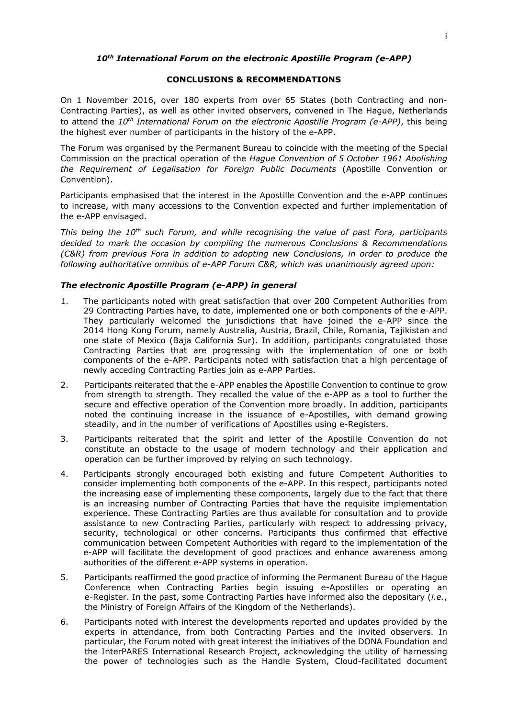#### *10th International Forum on the electronic Apostille Program (e-APP)*

#### **CONCLUSIONS & RECOMMENDATIONS**

On 1 November 2016, over 180 experts from over 65 States (both Contracting and non-Contracting Parties), as well as other invited observers, convened in The Hague, Netherlands to attend the *10th International Forum on the electronic Apostille Program (e-APP)*, this being the highest ever number of participants in the history of the e-APP.

The Forum was organised by the Permanent Bureau to coincide with the meeting of the Special Commission on the practical operation of the *Hague Convention of 5 October 1961 Abolishing the Requirement of Legalisation for Foreign Public Documents* (Apostille Convention or Convention).

Participants emphasised that the interest in the Apostille Convention and the e-APP continues to increase, with many accessions to the Convention expected and further implementation of the e-APP envisaged.

*This being the 10th such Forum, and while recognising the value of past Fora, participants decided to mark the occasion by compiling the numerous Conclusions & Recommendations (C&R) from previous Fora in addition to adopting new Conclusions, in order to produce the following authoritative omnibus of e-APP Forum C&R, which was unanimously agreed upon:*

### *The electronic Apostille Program (e-APP) in general*

- 1. The participants noted with great satisfaction that over 200 Competent Authorities from 29 Contracting Parties have, to date, implemented one or both components of the e-APP. They particularly welcomed the jurisdictions that have joined the e-APP since the 2014 Hong Kong Forum, namely Australia, Austria, Brazil, Chile, Romania, Tajikistan and one state of Mexico (Baja California Sur). In addition, participants congratulated those Contracting Parties that are progressing with the implementation of one or both components of the e-APP. Participants noted with satisfaction that a high percentage of newly acceding Contracting Parties join as e-APP Parties.
- 2. Participants reiterated that the e-APP enables the Apostille Convention to continue to grow from strength to strength. They recalled the value of the e-APP as a tool to further the secure and effective operation of the Convention more broadly. In addition, participants noted the continuing increase in the issuance of e-Apostilles, with demand growing steadily, and in the number of verifications of Apostilles using e-Registers.
- 3. Participants reiterated that the spirit and letter of the Apostille Convention do not constitute an obstacle to the usage of modern technology and their application and operation can be further improved by relying on such technology.
- 4. Participants strongly encouraged both existing and future Competent Authorities to consider implementing both components of the e-APP. In this respect, participants noted the increasing ease of implementing these components, largely due to the fact that there is an increasing number of Contracting Parties that have the requisite implementation experience. These Contracting Parties are thus available for consultation and to provide assistance to new Contracting Parties, particularly with respect to addressing privacy, security, technological or other concerns. Participants thus confirmed that effective communication between Competent Authorities with regard to the implementation of the e-APP will facilitate the development of good practices and enhance awareness among authorities of the different e-APP systems in operation.
- 5. Participants reaffirmed the good practice of informing the Permanent Bureau of the Hague Conference when Contracting Parties begin issuing e-Apostilles or operating an e-Register. In the past, some Contracting Parties have informed also the depositary (*i.e.*, the Ministry of Foreign Affairs of the Kingdom of the Netherlands).
- 6. Participants noted with interest the developments reported and updates provided by the experts in attendance, from both Contracting Parties and the invited observers. In particular, the Forum noted with great interest the initiatives of the DONA Foundation and the InterPARES International Research Project, acknowledging the utility of harnessing the power of technologies such as the Handle System, Cloud-facilitated document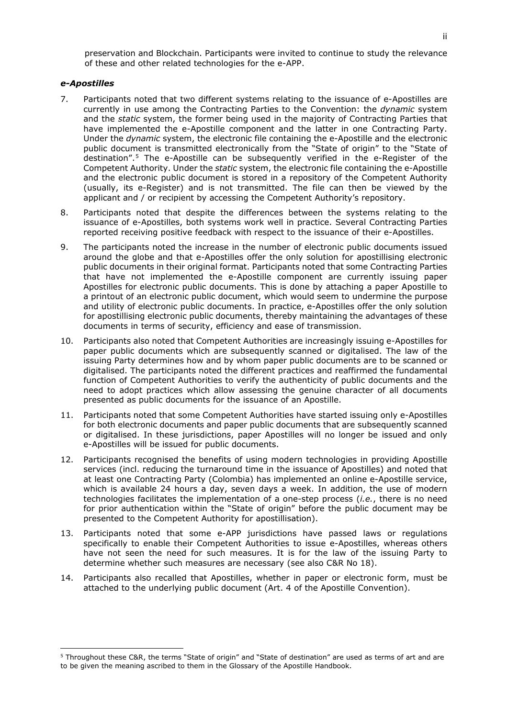preservation and Blockchain. Participants were invited to continue to study the relevance of these and other related technologies for the e-APP.

#### *e-Apostilles*

**.** 

- 7. Participants noted that two different systems relating to the issuance of e-Apostilles are currently in use among the Contracting Parties to the Convention: the *dynamic* system and the *static* system, the former being used in the majority of Contracting Parties that have implemented the e-Apostille component and the latter in one Contracting Party. Under the *dynamic* system, the electronic file containing the e-Apostille and the electronic public document is transmitted electronically from the "State of origin" to the "State of destination".[5](#page-6-0) The e-Apostille can be subsequently verified in the e-Register of the Competent Authority. Under the *static* system, the electronic file containing the e-Apostille and the electronic public document is stored in a repository of the Competent Authority (usually, its e-Register) and is not transmitted. The file can then be viewed by the applicant and / or recipient by accessing the Competent Authority's repository.
- 8. Participants noted that despite the differences between the systems relating to the issuance of e-Apostilles, both systems work well in practice. Several Contracting Parties reported receiving positive feedback with respect to the issuance of their e-Apostilles.
- 9. The participants noted the increase in the number of electronic public documents issued around the globe and that e-Apostilles offer the only solution for apostillising electronic public documents in their original format. Participants noted that some Contracting Parties that have not implemented the e-Apostille component are currently issuing paper Apostilles for electronic public documents. This is done by attaching a paper Apostille to a printout of an electronic public document, which would seem to undermine the purpose and utility of electronic public documents. In practice, e-Apostilles offer the only solution for apostillising electronic public documents, thereby maintaining the advantages of these documents in terms of security, efficiency and ease of transmission.
- 10. Participants also noted that Competent Authorities are increasingly issuing e-Apostilles for paper public documents which are subsequently scanned or digitalised. The law of the issuing Party determines how and by whom paper public documents are to be scanned or digitalised. The participants noted the different practices and reaffirmed the fundamental function of Competent Authorities to verify the authenticity of public documents and the need to adopt practices which allow assessing the genuine character of all documents presented as public documents for the issuance of an Apostille.
- 11. Participants noted that some Competent Authorities have started issuing only e-Apostilles for both electronic documents and paper public documents that are subsequently scanned or digitalised. In these jurisdictions, paper Apostilles will no longer be issued and only e-Apostilles will be issued for public documents.
- 12. Participants recognised the benefits of using modern technologies in providing Apostille services (incl. reducing the turnaround time in the issuance of Apostilles) and noted that at least one Contracting Party (Colombia) has implemented an online e-Apostille service, which is available 24 hours a day, seven days a week. In addition, the use of modern technologies facilitates the implementation of a one-step process (*i.e.*, there is no need for prior authentication within the "State of origin" before the public document may be presented to the Competent Authority for apostillisation).
- 13. Participants noted that some e-APP jurisdictions have passed laws or regulations specifically to enable their Competent Authorities to issue e-Apostilles, whereas others have not seen the need for such measures. It is for the law of the issuing Party to determine whether such measures are necessary (see also C&R No [18\)](#page-7-0).
- 14. Participants also recalled that Apostilles, whether in paper or electronic form, must be attached to the underlying public document (Art. 4 of the Apostille Convention).

<span id="page-6-0"></span><sup>5</sup> Throughout these C&R, the terms "State of origin" and "State of destination" are used as terms of art and are to be given the meaning ascribed to them in the Glossary of the Apostille Handbook.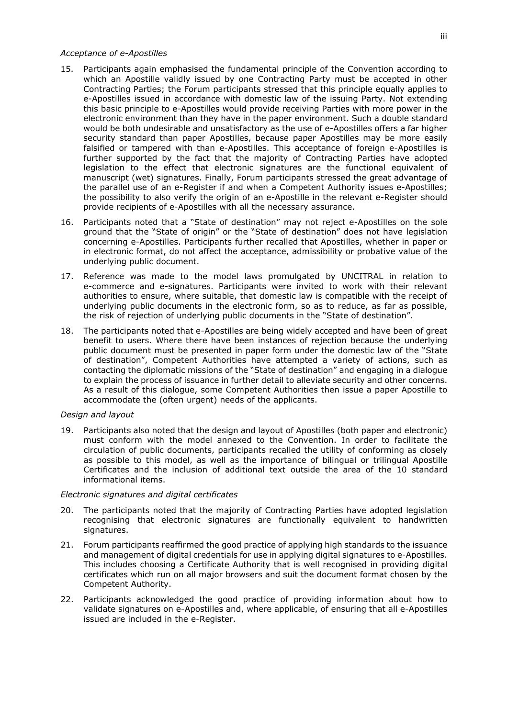## *Acceptance of e-Apostilles*

- 15. Participants again emphasised the fundamental principle of the Convention according to which an Apostille validly issued by one Contracting Party must be accepted in other Contracting Parties; the Forum participants stressed that this principle equally applies to e-Apostilles issued in accordance with domestic law of the issuing Party. Not extending this basic principle to e-Apostilles would provide receiving Parties with more power in the electronic environment than they have in the paper environment. Such a double standard would be both undesirable and unsatisfactory as the use of e-Apostilles offers a far higher security standard than paper Apostilles, because paper Apostilles may be more easily falsified or tampered with than e-Apostilles. This acceptance of foreign e-Apostilles is further supported by the fact that the majority of Contracting Parties have adopted legislation to the effect that electronic signatures are the functional equivalent of manuscript (wet) signatures. Finally, Forum participants stressed the great advantage of the parallel use of an e-Register if and when a Competent Authority issues e-Apostilles; the possibility to also verify the origin of an e-Apostille in the relevant e-Register should provide recipients of e-Apostilles with all the necessary assurance.
- 16. Participants noted that a "State of destination" may not reject e-Apostilles on the sole ground that the "State of origin" or the "State of destination" does not have legislation concerning e-Apostilles. Participants further recalled that Apostilles, whether in paper or in electronic format, do not affect the acceptance, admissibility or probative value of the underlying public document.
- 17. Reference was made to the model laws promulgated by UNCITRAL in relation to e-commerce and e-signatures. Participants were invited to work with their relevant authorities to ensure, where suitable, that domestic law is compatible with the receipt of underlying public documents in the electronic form, so as to reduce, as far as possible, the risk of rejection of underlying public documents in the "State of destination".
- <span id="page-7-0"></span>18. The participants noted that e-Apostilles are being widely accepted and have been of great benefit to users. Where there have been instances of rejection because the underlying public document must be presented in paper form under the domestic law of the "State of destination", Competent Authorities have attempted a variety of actions, such as contacting the diplomatic missions of the "State of destination" and engaging in a dialogue to explain the process of issuance in further detail to alleviate security and other concerns. As a result of this dialogue, some Competent Authorities then issue a paper Apostille to accommodate the (often urgent) needs of the applicants.

## *Design and layout*

19. Participants also noted that the design and layout of Apostilles (both paper and electronic) must conform with the model annexed to the Convention. In order to facilitate the circulation of public documents, participants recalled the utility of conforming as closely as possible to this model, as well as the importance of bilingual or trilingual Apostille Certificates and the inclusion of additional text outside the area of the 10 standard informational items.

#### *Electronic signatures and digital certificates*

- 20. The participants noted that the majority of Contracting Parties have adopted legislation recognising that electronic signatures are functionally equivalent to handwritten signatures.
- 21. Forum participants reaffirmed the good practice of applying high standards to the issuance and management of digital credentials for use in applying digital signatures to e-Apostilles. This includes choosing a Certificate Authority that is well recognised in providing digital certificates which run on all major browsers and suit the document format chosen by the Competent Authority.
- 22. Participants acknowledged the good practice of providing information about how to validate signatures on e-Apostilles and, where applicable, of ensuring that all e-Apostilles issued are included in the e-Register.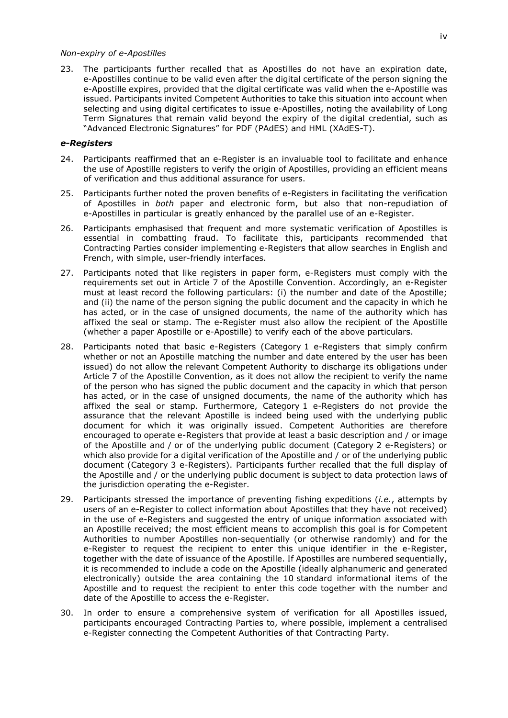## *Non-expiry of e-Apostilles*

23. The participants further recalled that as Apostilles do not have an expiration date, e-Apostilles continue to be valid even after the digital certificate of the person signing the e-Apostille expires, provided that the digital certificate was valid when the e-Apostille was issued. Participants invited Competent Authorities to take this situation into account when selecting and using digital certificates to issue e-Apostilles, noting the availability of Long Term Signatures that remain valid beyond the expiry of the digital credential, such as "Advanced Electronic Signatures" for PDF (PAdES) and HML (XAdES-T).

#### *e-Registers*

- 24. Participants reaffirmed that an e-Register is an invaluable tool to facilitate and enhance the use of Apostille registers to verify the origin of Apostilles, providing an efficient means of verification and thus additional assurance for users.
- 25. Participants further noted the proven benefits of e-Registers in facilitating the verification of Apostilles in *both* paper and electronic form, but also that non-repudiation of e-Apostilles in particular is greatly enhanced by the parallel use of an e-Register.
- 26. Participants emphasised that frequent and more systematic verification of Apostilles is essential in combatting fraud. To facilitate this, participants recommended that Contracting Parties consider implementing e-Registers that allow searches in English and French, with simple, user-friendly interfaces.
- 27. Participants noted that like registers in paper form, e-Registers must comply with the requirements set out in Article 7 of the Apostille Convention. Accordingly, an e-Register must at least record the following particulars: (i) the number and date of the Apostille; and (ii) the name of the person signing the public document and the capacity in which he has acted, or in the case of unsigned documents, the name of the authority which has affixed the seal or stamp. The e-Register must also allow the recipient of the Apostille (whether a paper Apostille or e-Apostille) to verify each of the above particulars.
- 28. Participants noted that basic e-Registers (Category 1 e-Registers that simply confirm whether or not an Apostille matching the number and date entered by the user has been issued) do not allow the relevant Competent Authority to discharge its obligations under Article 7 of the Apostille Convention, as it does not allow the recipient to verify the name of the person who has signed the public document and the capacity in which that person has acted, or in the case of unsigned documents, the name of the authority which has affixed the seal or stamp. Furthermore, Category 1 e-Registers do not provide the assurance that the relevant Apostille is indeed being used with the underlying public document for which it was originally issued. Competent Authorities are therefore encouraged to operate e-Registers that provide at least a basic description and / or image of the Apostille and / or of the underlying public document (Category 2 e-Registers) or which also provide for a digital verification of the Apostille and / or of the underlying public document (Category 3 e-Registers). Participants further recalled that the full display of the Apostille and / or the underlying public document is subject to data protection laws of the jurisdiction operating the e-Register.
- 29. Participants stressed the importance of preventing fishing expeditions (*i.e.*, attempts by users of an e-Register to collect information about Apostilles that they have not received) in the use of e-Registers and suggested the entry of unique information associated with an Apostille received; the most efficient means to accomplish this goal is for Competent Authorities to number Apostilles non-sequentially (or otherwise randomly) and for the e-Register to request the recipient to enter this unique identifier in the e-Register, together with the date of issuance of the Apostille. If Apostilles are numbered sequentially, it is recommended to include a code on the Apostille (ideally alphanumeric and generated electronically) outside the area containing the 10 standard informational items of the Apostille and to request the recipient to enter this code together with the number and date of the Apostille to access the e-Register.
- 30. In order to ensure a comprehensive system of verification for all Apostilles issued, participants encouraged Contracting Parties to, where possible, implement a centralised e-Register connecting the Competent Authorities of that Contracting Party.